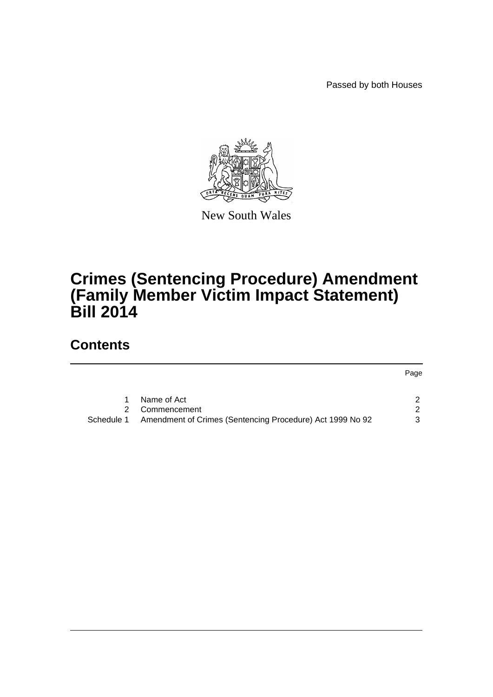Passed by both Houses



New South Wales

# **Crimes (Sentencing Procedure) Amendment (Family Member Victim Impact Statement) Bill 2014**

## **Contents**

|            |                                                           | Page          |
|------------|-----------------------------------------------------------|---------------|
|            |                                                           |               |
|            | Name of Act                                               |               |
|            | Commencement                                              | $\mathcal{P}$ |
| Schedule 1 | Amendment of Crimes (Sentencing Procedure) Act 1999 No 92 | 3             |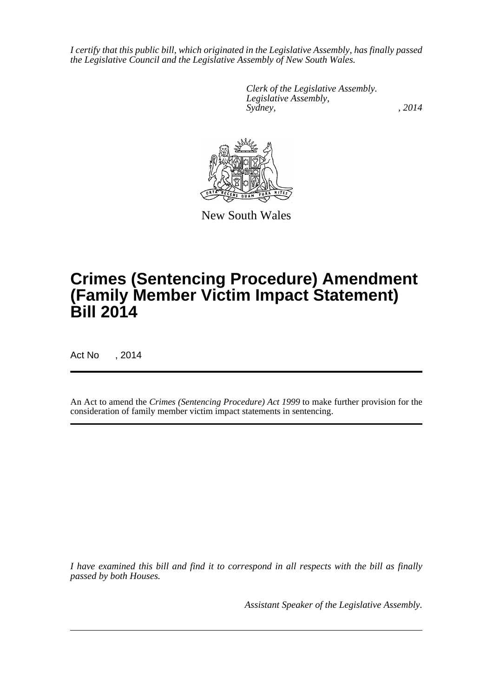*I certify that this public bill, which originated in the Legislative Assembly, has finally passed the Legislative Council and the Legislative Assembly of New South Wales.*

> *Clerk of the Legislative Assembly. Legislative Assembly, Sydney,* , 2014



New South Wales

# **Crimes (Sentencing Procedure) Amendment (Family Member Victim Impact Statement) Bill 2014**

Act No , 2014

An Act to amend the *Crimes (Sentencing Procedure) Act 1999* to make further provision for the consideration of family member victim impact statements in sentencing.

*I have examined this bill and find it to correspond in all respects with the bill as finally passed by both Houses.*

*Assistant Speaker of the Legislative Assembly.*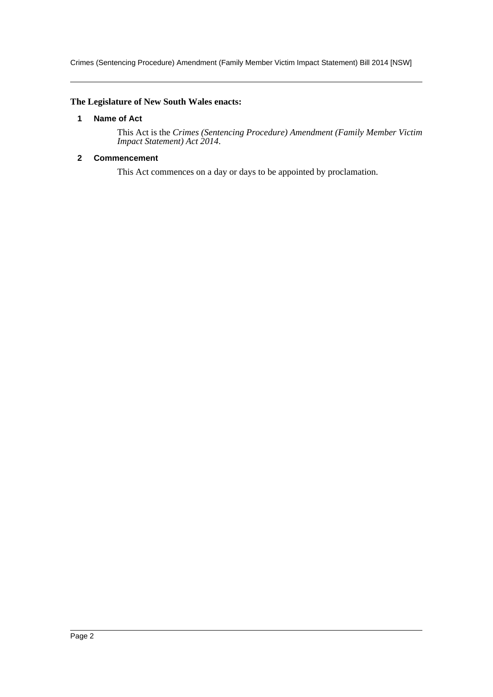Crimes (Sentencing Procedure) Amendment (Family Member Victim Impact Statement) Bill 2014 [NSW]

## <span id="page-2-0"></span>**The Legislature of New South Wales enacts:**

## **1 Name of Act**

This Act is the *Crimes (Sentencing Procedure) Amendment (Family Member Victim Impact Statement) Act 2014*.

## <span id="page-2-1"></span>**2 Commencement**

This Act commences on a day or days to be appointed by proclamation.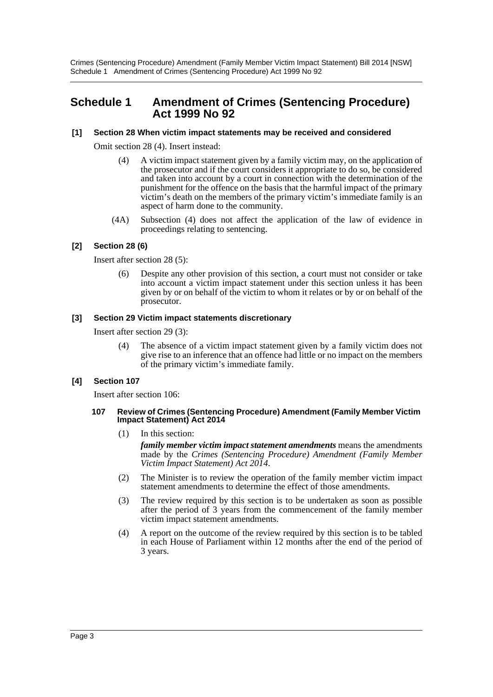Crimes (Sentencing Procedure) Amendment (Family Member Victim Impact Statement) Bill 2014 [NSW] Schedule 1 Amendment of Crimes (Sentencing Procedure) Act 1999 No 92

## <span id="page-3-0"></span>**Schedule 1 Amendment of Crimes (Sentencing Procedure) Act 1999 No 92**

### **[1] Section 28 When victim impact statements may be received and considered**

Omit section 28 (4). Insert instead:

- (4) A victim impact statement given by a family victim may, on the application of the prosecutor and if the court considers it appropriate to do so, be considered and taken into account by a court in connection with the determination of the punishment for the offence on the basis that the harmful impact of the primary victim's death on the members of the primary victim's immediate family is an aspect of harm done to the community.
- (4A) Subsection (4) does not affect the application of the law of evidence in proceedings relating to sentencing.

## **[2] Section 28 (6)**

Insert after section 28 (5):

(6) Despite any other provision of this section, a court must not consider or take into account a victim impact statement under this section unless it has been given by or on behalf of the victim to whom it relates or by or on behalf of the prosecutor.

### **[3] Section 29 Victim impact statements discretionary**

Insert after section 29 (3):

(4) The absence of a victim impact statement given by a family victim does not give rise to an inference that an offence had little or no impact on the members of the primary victim's immediate family.

### **[4] Section 107**

Insert after section 106:

#### **107 Review of Crimes (Sentencing Procedure) Amendment (Family Member Victim Impact Statement) Act 2014**

- (1) In this section: *family member victim impact statement amendments* means the amendments made by the *Crimes (Sentencing Procedure) Amendment (Family Member Victim Impact Statement) Act 2014*.
- (2) The Minister is to review the operation of the family member victim impact statement amendments to determine the effect of those amendments.
- (3) The review required by this section is to be undertaken as soon as possible after the period of 3 years from the commencement of the family member victim impact statement amendments.
- (4) A report on the outcome of the review required by this section is to be tabled in each House of Parliament within 12 months after the end of the period of 3 years.